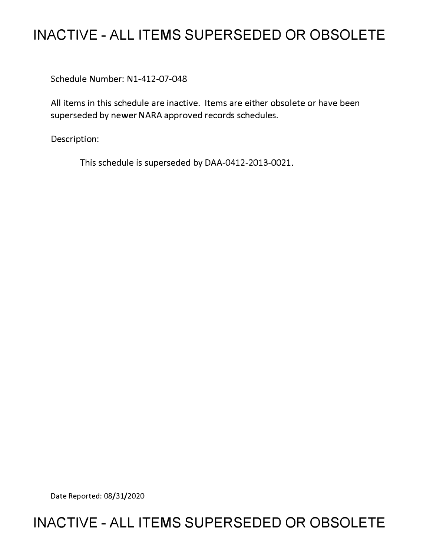# **INACTIVE - ALL ITEMS SUPERSEDED OR OBSOLETE**

Schedule Number: Nl-412-07-048

All items in this schedule are inactive. Items are either obsolete or have been superseded by newer NARA approved records schedules.

Description:

This schedule is superseded by DAA-0412-2013-0021.

Date Reported: 08/31/2020

## **INACTIVE - ALL ITEMS SUPERSEDED OR OBSOLETE**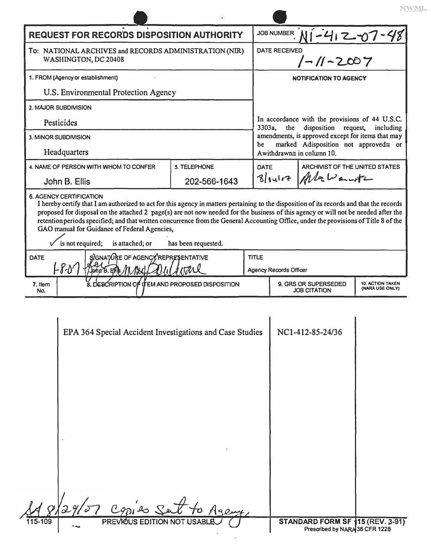| <b>REQUEST FOR RECORDS DISPOSITION AUTHORITY</b>                                                                                                                                                                                                                                                                                                                                                                                                                                                                                                                                                                                             |                                                 |                                                          |             |                                                                                                                                      | JOB NUMBER N1-412-07-4                      |                                            |
|----------------------------------------------------------------------------------------------------------------------------------------------------------------------------------------------------------------------------------------------------------------------------------------------------------------------------------------------------------------------------------------------------------------------------------------------------------------------------------------------------------------------------------------------------------------------------------------------------------------------------------------------|-------------------------------------------------|----------------------------------------------------------|-------------|--------------------------------------------------------------------------------------------------------------------------------------|---------------------------------------------|--------------------------------------------|
| To: NATIONAL ARCHIVES and RECORDS ADMINISTRATION (NIR)<br>WASHINGTON, DC 20408                                                                                                                                                                                                                                                                                                                                                                                                                                                                                                                                                               |                                                 |                                                          |             | <b>DATE RECEIVED</b><br>$1 - 11 - 2007$                                                                                              |                                             |                                            |
| 1. FROM (Agency or establishment)                                                                                                                                                                                                                                                                                                                                                                                                                                                                                                                                                                                                            |                                                 |                                                          |             | <b>NOTIFICATION TO AGENCY</b>                                                                                                        |                                             |                                            |
| U.S. Environmental Protection Agency                                                                                                                                                                                                                                                                                                                                                                                                                                                                                                                                                                                                         |                                                 |                                                          |             | In accordance with the provisions of 44 U.S.C.<br>3303a,<br>disposition request,<br>the<br>including                                 |                                             |                                            |
| 2. MAJOR SUBDIVISION                                                                                                                                                                                                                                                                                                                                                                                                                                                                                                                                                                                                                         |                                                 |                                                          |             |                                                                                                                                      |                                             |                                            |
| Pesticides                                                                                                                                                                                                                                                                                                                                                                                                                                                                                                                                                                                                                                   |                                                 |                                                          |             |                                                                                                                                      |                                             |                                            |
| 3. MINOR SUBDIVISION                                                                                                                                                                                                                                                                                                                                                                                                                                                                                                                                                                                                                         |                                                 |                                                          |             | amendments, is approved except for items that may<br>marked Adisposition not approved= or<br>be<br>A withdrawn $\cong$ in column 10. |                                             |                                            |
| Headquarters                                                                                                                                                                                                                                                                                                                                                                                                                                                                                                                                                                                                                                 |                                                 |                                                          |             |                                                                                                                                      |                                             |                                            |
| 4. NAME OF PERSON WITH WHOM TO CONFER                                                                                                                                                                                                                                                                                                                                                                                                                                                                                                                                                                                                        |                                                 | <b>5. TELEPHONE</b>                                      | <b>DATE</b> |                                                                                                                                      | ARCHIVIST OF THE UNITED STATES              |                                            |
| John B. Ellis                                                                                                                                                                                                                                                                                                                                                                                                                                                                                                                                                                                                                                |                                                 | 202-566-1643                                             |             |                                                                                                                                      | Blance Alawante                             |                                            |
| <b>6. AGENCY CERTIFICATION</b><br>I hereby certify that I am authorized to act for this agency in matters pertaining to the disposition of its records and that the records<br>proposed for disposal on the attached 2 page(s) are not now needed for the business of this agency or will not be needed after the<br>retention periods specified; and that written concurrence from the General Accounting Office, under the provisions of Title 8 of the<br>GAO manual for Guidance of Federal Agencies,<br>is not required;<br>is attached; or<br>has been requested.<br>SIGNATORE OF AGENCY REPRESENTATIVE<br><b>TITLE</b><br><b>DATE</b> |                                                 |                                                          |             |                                                                                                                                      |                                             |                                            |
| $-F\delta$<br>John B. Ellis                                                                                                                                                                                                                                                                                                                                                                                                                                                                                                                                                                                                                  |                                                 |                                                          |             | <b>Agency Records Officer</b>                                                                                                        |                                             |                                            |
| 7. Item<br>No.                                                                                                                                                                                                                                                                                                                                                                                                                                                                                                                                                                                                                               | 8. DESCRIPTION OF ITEM AND PROPOSED DISPOSITION |                                                          |             |                                                                                                                                      | 9. GRS OR SUPERSEDED<br><b>JOB CITATION</b> | <b>10. ACTION TAKEN</b><br>(NARA USE ONLY) |
|                                                                                                                                                                                                                                                                                                                                                                                                                                                                                                                                                                                                                                              |                                                 | EPA 364 Special Accident Investigations and Case Studies |             |                                                                                                                                      | NC1-412-85-24/36                            |                                            |

NWML.

|         | EPA 364 Special Accident Investigations and Case Studies | NC1-412-85-24/36                 |
|---------|----------------------------------------------------------|----------------------------------|
|         |                                                          |                                  |
|         |                                                          |                                  |
|         |                                                          |                                  |
|         |                                                          |                                  |
|         |                                                          |                                  |
|         |                                                          |                                  |
|         |                                                          |                                  |
|         |                                                          |                                  |
|         |                                                          |                                  |
|         |                                                          |                                  |
|         |                                                          |                                  |
|         | Copies Set<br>Agenty                                     |                                  |
| 115-109 | PREVIOUS EDITION NOT USABLE                              | STANDARD FORM SF 115 (REV. 3-91) |
|         |                                                          | Prescribed by NARA 36 CFR 1228   |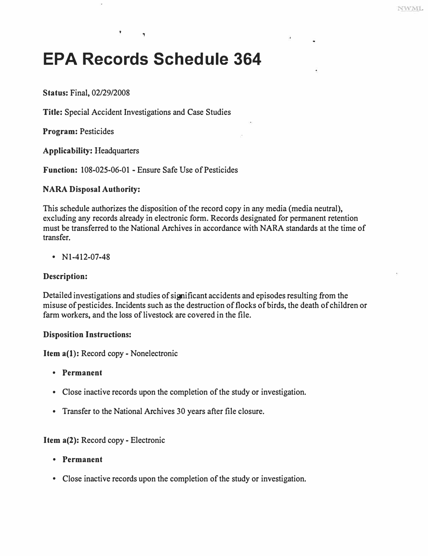# **EPA Records Schedule 364**

٠

**Status:** Final, 02/29/2008

**Title:** Special Accident Investigations and Case Studies

**Program:** Pesticides

**Applicability:** Headquarters

**Function:** 108-025-06-01 - Ensure Safe Use of Pesticides

#### **NARA Disposal Authority:**

This schedule authorizes the disposition of the record copy in any media (media neutral), excluding any records already in electronic form. Records designated for permanent retention must be transferred to the National Archives in accordance with NARA standards at the time of transfer.

• N1-412-07-48

#### **Description:**

Detailed investigations and studies of significant accidents and episodes resulting from the misuse of pesticides. Incidents such as the destruction of flocks of birds, the death of children or farm workers, and the loss of livestock are covered in the file.

#### **Disposition Instructions:**

**Item a(l):** Record copy - Nonelectronic

- **Permanent**
- Close inactive records upon the completion of the study or investigation.
- Transfer to the National Archives 30 years after file closure.

#### **Item a(2):** Record copy - Electronic

- **Permanent**
- Close inactive records upon the completion of the study or investigation.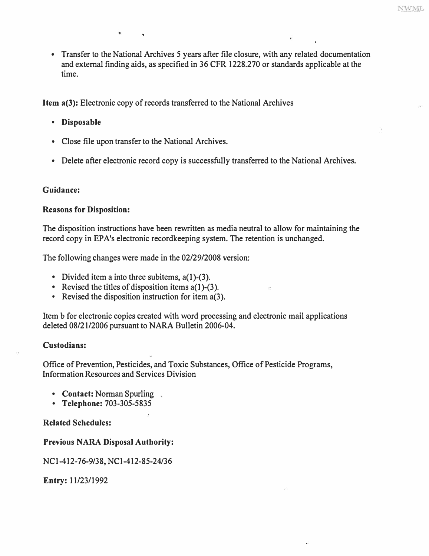• Transfer to the National Archives 5 years after file closure, with any related documentation and external finding aids, as specified in 36 CFR 1228.270 or standards applicable at the time.

**Item a(3):** Electronic copy of records transferred to the National Archives

- **Disposable**
- Close file upon transfer to the National Archives.

,

• Delete after electronic record copy is successfully transferred to the National Archives.

#### **Guidance:**

#### **Reasons for Disposition:**

The disposition instructions have been rewritten as media neutral to allow for maintaining the record copy in EPA's electronic recordkeeping system. The retention is unchanged.

The following changes were made in the 02/29/2008 version:

- 
- Divided item a into three subitems,  $a(1)-(3)$ .<br>• Revised the titles of disposition items  $a(1)-(3)$ .<br>• Revised the disposition instruction for item  $a(3)$ .
- 

Item b for electronic copies created with word processing and electronic mail applications deleted 08/21/2006 pursuant to NARA Bulletin 2006-04.

#### **Custodians:**

Office of Prevention, Pesticides, and Toxic Substances, Office of Pesticide Programs, Information Resources and Services Division

- Contact: Norman Spurling
- **Telephone:** 703-305-5835

#### **Related Schedules:**

#### **Previous NARA Disposal Authority:**

NCl-412-76-9/38, NCl-412-85-24/36

**Entry:** 11/23/1992